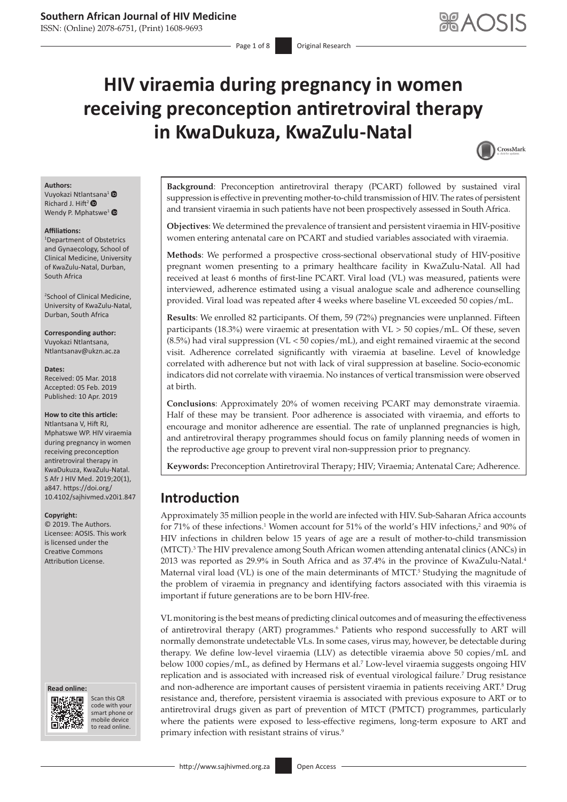ISSN: (Online) 2078-6751, (Print) 1608-9693

# **HIV viraemia during pregnancy in women receiving preconception antiretroviral therapy in KwaDukuza, KwaZulu-Natal**

<span id="page-0-3"></span><span id="page-0-1"></span>

### **Authors:**

Vuyokazi Ntla[ntsa](http://orcid.org/0000-0003-3580-1513)na<sup>1</sup> Richard J. Hift<sup>2</sup> <sup>O</sup> Wendy P. Mphatswe<sup>[1](http://orcid.org/0000-0002-1520-8635)</sup>

#### **Affiliations:**

1 Department of Obstetrics and Gynaecology, School of Clinical Medicine, University of KwaZulu-Natal, Durban, South Africa

2 School of Clinical Medicine, University of KwaZulu-Natal, Durban, South Africa

**Corresponding author:** Vuyokazi Ntlantsana, [Ntlantsanav@ukzn.ac.za](mailto:Ntlantsanav@ukzn.ac.za)

#### **Dates:**

Received: 05 Mar. 2018 Accepted: 05 Feb. 2019 Published: 10 Apr. 2019

#### **How to cite this article:**

Ntlantsana V, Hift RJ, Mphatswe WP. HIV viraemia during pregnancy in women receiving preconception antiretroviral therapy in KwaDukuza, KwaZulu-Natal. S Afr J HIV Med. 2019;20(1), a847. [https://doi.org/](https://doi.org/10.4102/sajhivmed.v20i1.847) [10.4102/sajhivmed.v20i1.847](https://doi.org/10.4102/sajhivmed.v20i1.847)

#### **Copyright:**

© 2019. The Authors. Licensee: AOSIS. This work is licensed under the Creative Commons Attribution License.

#### **Read online: Read online:**



Scan this QR code with your Scan this QR<br>code with your<br>smart phone or<br>mobile device mobile device to read online. to read online.

**Background**: Preconception antiretroviral therapy (PCART) followed by sustained viral suppression is effective in preventing mother-to-child transmission of HIV. The rates of persistent and transient viraemia in such patients have not been prospectively assessed in South Africa.

**Objectives**: We determined the prevalence of transient and persistent viraemia in HIV-positive women entering antenatal care on PCART and studied variables associated with viraemia.

**Methods**: We performed a prospective cross-sectional observational study of HIV-positive pregnant women presenting to a primary healthcare facility in KwaZulu-Natal. All had received at least 6 months of first-line PCART. Viral load (VL) was measured, patients were interviewed, adherence estimated using a visual analogue scale and adherence counselling provided. Viral load was repeated after 4 weeks where baseline VL exceeded 50 copies/mL.

**Results**: We enrolled 82 participants. Of them, 59 (72%) pregnancies were unplanned. Fifteen participants (18.3%) were viraemic at presentation with VL > 50 copies/mL. Of these, seven (8.5%) had viral suppression (VL < 50 copies/mL), and eight remained viraemic at the second visit. Adherence correlated significantly with viraemia at baseline. Level of knowledge correlated with adherence but not with lack of viral suppression at baseline. Socio-economic indicators did not correlate with viraemia. No instances of vertical transmission were observed at birth.

**Conclusions**: Approximately 20% of women receiving PCART may demonstrate viraemia. Half of these may be transient. Poor adherence is associated with viraemia, and efforts to encourage and monitor adherence are essential. The rate of unplanned pregnancies is high, and antiretroviral therapy programmes should focus on family planning needs of women in the reproductive age group to prevent viral non-suppression prior to pregnancy.

**Keywords:** Preconception Antiretroviral Therapy; HIV; Viraemia; Antenatal Care; Adherence.

# **Introduction**

<span id="page-0-2"></span><span id="page-0-0"></span>Approximately 35 million people in the world are infected with HIV. Sub-Saharan Africa accounts for 71% of these infections.<sup>1</sup> Women account for 51% of the world's HIV infections,<sup>2</sup> and 90% of HIV infections in children below 15 years of age are a result of mother-to-child transmission (MTCT).<sup>[3](#page-6-2)</sup> The HIV prevalence among South African women attending antenatal clinics (ANCs) in 2013 was reported as 29.9% in South Africa and as 37.4% in the province of KwaZulu-Natal[.4](#page-6-3) Maternal viral load (VL) is one of the main determinants of MTCT.<sup>[5](#page-6-4)</sup> Studying the magnitude of the problem of viraemia in pregnancy and identifying factors associated with this viraemia is important if future generations are to be born HIV-free.

VL monitoring is the best means of predicting clinical outcomes and of measuring the effectiveness of antiretroviral therapy (ART) programmes.<sup>6</sup> Patients who respond successfully to ART will normally demonstrate undetectable VLs. In some cases, virus may, however, be detectable during therapy. We define low-level viraemia (LLV) as detectible viraemia above 50 copies/mL and below 1000 copies/mL, as defined by Hermans et al.7 Low-level viraemia suggests ongoing HIV replication and is associated with increased risk of eventual virological failure.<sup>7</sup> Drug resistance and non-adherence are important causes of persistent viraemia in patients receiving ART.<sup>8</sup> Drug resistance and, therefore, persistent viraemia is associated with previous exposure to ART or to antiretroviral drugs given as part of prevention of MTCT (PMTCT) programmes, particularly where the patients were exposed to less-effective regimens, long-term exposure to ART and primary infection with resistant strains of virus.<sup>9</sup>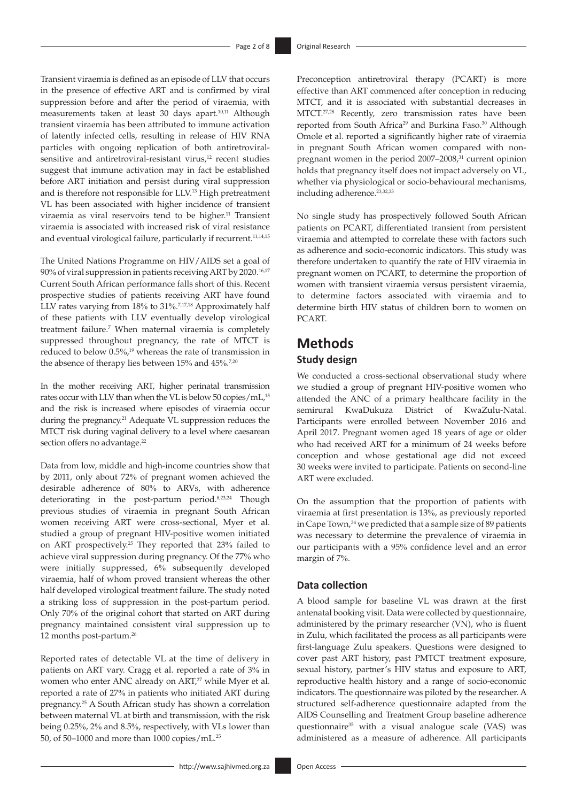<span id="page-1-2"></span><span id="page-1-0"></span>Transient viraemia is defined as an episode of LLV that occurs in the presence of effective ART and is confirmed by viral suppression before and after the period of viraemia, with measurements taken at least 30 days apart.<sup>[10](#page-6-5)[,11](#page-6-6)</sup> Although transient viraemia has been attributed to immune activation of latently infected cells, resulting in release of HIV RNA particles with ongoing replication of both antiretroviralsensitive and antiretroviral-resistant virus,<sup>12</sup> recent studies suggest that immune activation may in fact be established before ART initiation and persist during viral suppression and is therefore not responsible for LLV.[13](#page-6-8) High pretreatment VL has been associated with higher incidence of transient viraemia as viral reservoirs tend to be higher.<sup>11</sup> Transient viraemia is associated with increased risk of viral resistance and eventual virological failure, particularly if recurrent.<sup>11,[14](#page-6-9)[,15](#page-6-10)</sup>

<span id="page-1-5"></span><span id="page-1-3"></span>The United Nations Programme on HIV/AIDS set a goal of 90% of viral suppression in patients receiving ART by 2020.[16](#page-6-11)[,17](#page-6-12) Current South African performance falls short of this. Recent prospective studies of patients receiving ART have found LLV rates varying from 18% to 31%.<sup>7,[17](#page-6-12),18</sup> Approximately half of these patients with LLV eventually develop virological treatment failure.7 When maternal viraemia is completely suppressed throughout pregnancy, the rate of MTCT is reduced to below 0.5%, [19](#page-6-14) whereas the rate of transmission in the absence of therapy lies between 15% and 45%.<sup>7[,20](#page-6-15)</sup>

<span id="page-1-10"></span>In the mother receiving ART, higher perinatal transmission rates occur with LLV than when the VL is below 50 copies/mL,<sup>15</sup> and the risk is increased where episodes of viraemia occur during the pregnancy.<sup>21</sup> Adequate VL suppression reduces the MTCT risk during vaginal delivery to a level where caesarean section offers no advantage.<sup>22</sup>

<span id="page-1-13"></span><span id="page-1-11"></span>Data from low, middle and high-income countries show that by 2011, only about 72% of pregnant women achieved the desirable adherence of 80% to ARVs, with adherence deteriorating in the post-partum period.8,[23](#page-7-0)[,24](#page-7-1) Though previous studies of viraemia in pregnant South African women receiving ART were cross-sectional, Myer et al. studied a group of pregnant HIV-positive women initiated on ART prospectively.[25](#page-7-2) They reported that 23% failed to achieve viral suppression during pregnancy. Of the 77% who were initially suppressed, 6% subsequently developed viraemia, half of whom proved transient whereas the other half developed virological treatment failure. The study noted a striking loss of suppression in the post-partum period. Only 70% of the original cohort that started on ART during pregnancy maintained consistent viral suppression up to 12 months post-partum.<sup>26</sup>

<span id="page-1-15"></span><span id="page-1-14"></span>Reported rates of detectable VL at the time of delivery in patients on ART vary. Cragg et al. reported a rate of 3% in women who enter ANC already on ART,<sup>[27](#page-7-4)</sup> while Myer et al. reported a rate of 27% in patients who initiated ART during pregnancy.[25](#page-7-2) A South African study has shown a correlation between maternal VL at birth and transmission, with the risk being 0.25%, 2% and 8.5%, respectively, with VLs lower than 50, of 50–1000 and more than 1000 copies/mL.[25](#page-7-2)

<span id="page-1-18"></span><span id="page-1-17"></span><span id="page-1-16"></span><span id="page-1-1"></span>Preconception antiretroviral therapy (PCART) is more effective than ART commenced after conception in reducing MTCT, and it is associated with substantial decreases in MTCT.<sup>27,[28](#page-7-5)</sup> Recently, zero transmission rates have been reported from South Africa<sup>29</sup> and Burkina Faso.<sup>30</sup> Although Omole et al. reported a significantly higher rate of viraemia in pregnant South African women compared with non-pregnant women in the period 2007–2008,<sup>[31](#page-7-8)</sup> current opinion holds that pregnancy itself does not impact adversely on VL, whether via physiological or socio-behavioural mechanisms, including adherence.<sup>23,[32](#page-7-9)[,33](#page-7-10)</sup>

<span id="page-1-20"></span><span id="page-1-19"></span><span id="page-1-6"></span><span id="page-1-4"></span>No single study has prospectively followed South African patients on PCART, differentiated transient from persistent viraemia and attempted to correlate these with factors such as adherence and socio-economic indicators. This study was therefore undertaken to quantify the rate of HIV viraemia in pregnant women on PCART, to determine the proportion of women with transient viraemia versus persistent viraemia, to determine factors associated with viraemia and to determine birth HIV status of children born to women on PCART.

# <span id="page-1-8"></span><span id="page-1-7"></span>**Methods**

### <span id="page-1-9"></span>**Study design**

We conducted a cross-sectional observational study where we studied a group of pregnant HIV-positive women who attended the ANC of a primary healthcare facility in the semirural KwaDukuza District of KwaZulu-Natal. Participants were enrolled between November 2016 and April 2017. Pregnant women aged 18 years of age or older who had received ART for a minimum of 24 weeks before conception and whose gestational age did not exceed 30 weeks were invited to participate. Patients on second-line ART were excluded.

<span id="page-1-21"></span><span id="page-1-12"></span>On the assumption that the proportion of patients with viraemia at first presentation is 13%, as previously reported in Cape Town,<sup>34</sup> we predicted that a sample size of 89 patients was necessary to determine the prevalence of viraemia in our participants with a 95% confidence level and an error margin of 7%.

### **Data collection**

<span id="page-1-22"></span>A blood sample for baseline VL was drawn at the first antenatal booking visit. Data were collected by questionnaire, administered by the primary researcher (VN), who is fluent in Zulu, which facilitated the process as all participants were first-language Zulu speakers. Questions were designed to cover past ART history, past PMTCT treatment exposure, sexual history, partner's HIV status and exposure to ART, reproductive health history and a range of socio-economic indicators. The questionnaire was piloted by the researcher. A structured self-adherence questionnaire adapted from the AIDS Counselling and Treatment Group baseline adherence questionnaire<sup>35</sup> with a visual analogue scale (VAS) was administered as a measure of adherence. All participants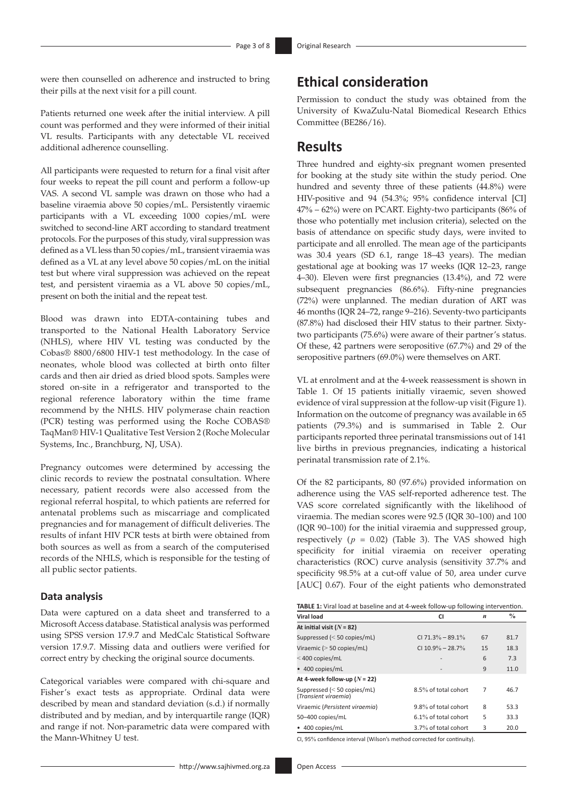were then counselled on adherence and instructed to bring their pills at the next visit for a pill count.

Patients returned one week after the initial interview. A pill count was performed and they were informed of their initial VL results. Participants with any detectable VL received additional adherence counselling.

All participants were requested to return for a final visit after four weeks to repeat the pill count and perform a follow-up VAS. A second VL sample was drawn on those who had a baseline viraemia above 50 copies/mL. Persistently viraemic participants with a VL exceeding 1000 copies/mL were switched to second-line ART according to standard treatment protocols. For the purposes of this study, viral suppression was defined as a VL less than 50 copies/mL, transient viraemia was defined as a VL at any level above 50 copies/mL on the initial test but where viral suppression was achieved on the repeat test, and persistent viraemia as a VL above 50 copies/mL, present on both the initial and the repeat test.

Blood was drawn into EDTA-containing tubes and transported to the National Health Laboratory Service (NHLS), where HIV VL testing was conducted by the Cobas® 8800/6800 HIV-1 test methodology. In the case of neonates, whole blood was collected at birth onto filter cards and then air dried as dried blood spots. Samples were stored on-site in a refrigerator and transported to the regional reference laboratory within the time frame recommend by the NHLS. HIV polymerase chain reaction (PCR) testing was performed using the Roche COBAS® TaqMan® HIV-1 Qualitative Test Version 2 (Roche Molecular Systems, Inc., Branchburg, NJ, USA).

Pregnancy outcomes were determined by accessing the clinic records to review the postnatal consultation. Where necessary, patient records were also accessed from the regional referral hospital, to which patients are referred for antenatal problems such as miscarriage and complicated pregnancies and for management of difficult deliveries. The results of infant HIV PCR tests at birth were obtained from both sources as well as from a search of the computerised records of the NHLS, which is responsible for the testing of all public sector patients.

#### **Data analysis**

Data were captured on a data sheet and transferred to a Microsoft Access database. Statistical analysis was performed using SPSS version 17.9.7 and MedCalc Statistical Software version 17.9.7. Missing data and outliers were verified for correct entry by checking the original source documents.

Categorical variables were compared with chi-square and Fisher's exact tests as appropriate. Ordinal data were described by mean and standard deviation (s.d.) if normally distributed and by median, and by interquartile range (IQR) and range if not. Non-parametric data were compared with the Mann-Whitney U test.

Permission to conduct the study was obtained from the University of KwaZulu-Natal Biomedical Research Ethics Committee (BE286/16).

# **Results**

Three hundred and eighty-six pregnant women presented for booking at the study site within the study period. One hundred and seventy three of these patients (44.8%) were HIV-positive and 94 (54.3%; 95% confidence interval [CI] 47% – 62%) were on PCART. Eighty-two participants (86% of those who potentially met inclusion criteria), selected on the basis of attendance on specific study days, were invited to participate and all enrolled. The mean age of the participants was 30.4 years (SD 6.1, range 18–43 years). The median gestational age at booking was 17 weeks (IQR 12–23, range 4–30). Eleven were first pregnancies (13.4%), and 72 were subsequent pregnancies (86.6%). Fifty-nine pregnancies (72%) were unplanned. The median duration of ART was 46 months (IQR 24–72, range 9–216). Seventy-two participants (87.8%) had disclosed their HIV status to their partner. Sixtytwo participants (75.6%) were aware of their partner's status. Of these, 42 partners were seropositive (67.7%) and 29 of the seropositive partners (69.0%) were themselves on ART.

VL at enrolment and at the 4-week reassessment is shown in Table 1. Of 15 patients initially viraemic, seven showed evidence of viral suppression at the follow-up visit (Figure 1). Information on the outcome of pregnancy was available in 65 patients (79.3%) and is summarised in Table 2. Our participants reported three perinatal transmissions out of 141 live births in previous pregnancies, indicating a historical perinatal transmission rate of 2.1%.

Of the 82 participants, 80 (97.6%) provided information on adherence using the VAS self-reported adherence test. The VAS score correlated significantly with the likelihood of viraemia. The median scores were 92.5 (IQR 30–100) and 100 (IQR 90–100) for the initial viraemia and suppressed group, respectively  $(p = 0.02)$  (Table 3). The VAS showed high specificity for initial viraemia on receiver operating characteristics (ROC) curve analysis (sensitivity 37.7% and specificity 98.5% at a cut-off value of 50, area under curve [AUC] 0.67). Four of the eight patients who demonstrated

| TABLE 1: Viral load at baseline and at 4-week follow-up following intervention. |  |  |
|---------------------------------------------------------------------------------|--|--|
|                                                                                 |  |  |

| Viral load                                            | CI                   | $\boldsymbol{n}$ | $\frac{0}{0}$ |
|-------------------------------------------------------|----------------------|------------------|---------------|
| At initial visit ( $N = 82$ )                         |                      |                  |               |
| Suppressed $(< 50$ copies/mL)                         | CI 71.3% - 89.1%     | 67               | 81.7          |
| Viraemic ( $>$ 50 copies/mL)                          | CI 10.9% – 28.7%     | 15               | 18.3          |
| $<$ 400 copies/mL                                     |                      | 6                | 7.3           |
| • 400 copies/mL                                       |                      | 9                | 11.0          |
| At 4-week follow-up ( $N = 22$ )                      |                      |                  |               |
| Suppressed $(< 50$ copies/mL)<br>(Transient viraemia) | 8.5% of total cohort | 7                | 46.7          |
| Viraemic (Persistent viraemia)                        | 9.8% of total cohort | 8                | 53.3          |
| 50-400 copies/mL                                      | 6.1% of total cohort | 5                | 33.3          |
| • 400 copies/mL                                       | 3.7% of total cohort | 3                | 20.0          |

CI, 95% confidence interval (Wilson's method corrected for continuity).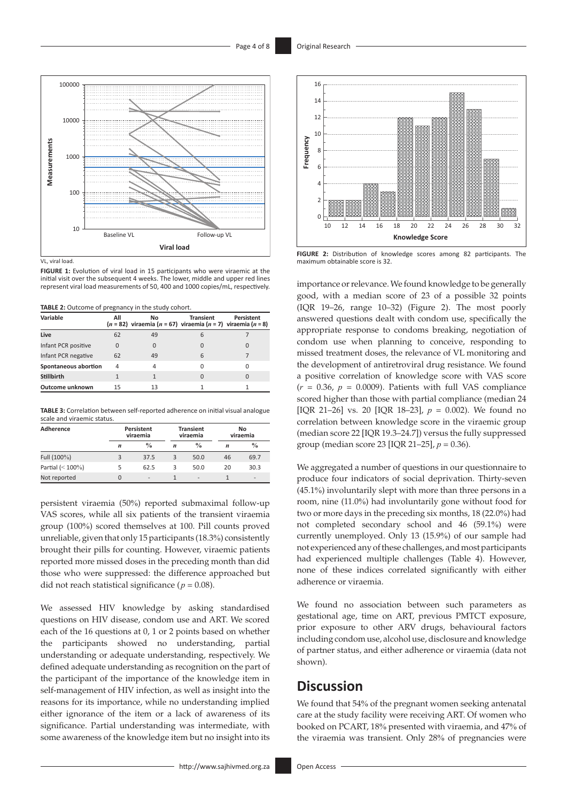

VL, viral load.

**FIGURE 1:** Evolution of viral load in 15 participants who were viraemic at the initial visit over the subsequent 4 weeks. The lower, middle and upper red lines represent viral load measurements of 50, 400 and 1000 copies/mL, respectively.

**TABLE 2:** Outcome of pregnancy in the study cohort.

| Variable             | All      | No.<br>$(n = 82)$ viraemia $(n = 67)$ viraemia $(n = 7)$ viraemia $(n = 8)$ | <b>Transient</b> | Persistent |
|----------------------|----------|-----------------------------------------------------------------------------|------------------|------------|
| Live                 | 62       | 49                                                                          | 6                |            |
| Infant PCR positive  | $\Omega$ |                                                                             | 0                | O          |
| Infant PCR negative  | 62       | 49                                                                          | 6                |            |
| Spontaneous abortion | 4        | 4                                                                           | U                | U          |
| <b>Stillbirth</b>    |          |                                                                             | $\Omega$         | $\Omega$   |
| Outcome unknown      | 15       | 13                                                                          |                  |            |

**TABLE 3:** Correlation between self-reported adherence on initial visual analogue scale and viraemic status.

| Adherence           |   | Persistent<br><b>Transient</b><br>viraemia<br>viraemia |   |                          |    | No<br>viraemia               |
|---------------------|---|--------------------------------------------------------|---|--------------------------|----|------------------------------|
|                     | n | $\frac{0}{0}$                                          | n | $\frac{0}{0}$            | n  | $\%$                         |
| Full (100%)         | 3 | 37.5                                                   | 3 | 50.0                     | 46 | 69.7                         |
| Partial $(< 100\%)$ |   | 62.5                                                   | 3 | 50.0                     | 20 | 30.3                         |
| Not reported        |   | $\overline{\phantom{a}}$                               |   | $\overline{\phantom{a}}$ |    | $\qquad \qquad \blacksquare$ |

persistent viraemia (50%) reported submaximal follow-up VAS scores, while all six patients of the transient viraemia group (100%) scored themselves at 100. Pill counts proved unreliable, given that only 15 participants (18.3%) consistently brought their pills for counting. However, viraemic patients reported more missed doses in the preceding month than did those who were suppressed: the difference approached but did not reach statistical significance ( $p = 0.08$ ).

We assessed HIV knowledge by asking standardised questions on HIV disease, condom use and ART. We scored each of the 16 questions at 0, 1 or 2 points based on whether the participants showed no understanding, partial understanding or adequate understanding, respectively. We defined adequate understanding as recognition on the part of the participant of the importance of the knowledge item in self-management of HIV infection, as well as insight into the reasons for its importance, while no understanding implied either ignorance of the item or a lack of awareness of its significance. Partial understanding was intermediate, with some awareness of the knowledge item but no insight into its



**FIGURE 2:** Distribution of knowledge scores among 82 participants. The maximum obtainable score is 32.

importance or relevance. We found knowledge to be generally good, with a median score of 23 of a possible 32 points (IQR 19–26, range 10–32) (Figure 2). The most poorly answered questions dealt with condom use, specifically the appropriate response to condoms breaking, negotiation of condom use when planning to conceive, responding to missed treatment doses, the relevance of VL monitoring and the development of antiretroviral drug resistance. We found a positive correlation of knowledge score with VAS score  $(r = 0.36, p = 0.0009)$ . Patients with full VAS compliance scored higher than those with partial compliance (median 24 [IQR 21–26] vs. 20 [IQR 18–23], *p* = 0.002). We found no correlation between knowledge score in the viraemic group (median score 22 [IQR 19.3–24.7]) versus the fully suppressed group (median score 23 [IQR 21–25], *p* = 0.36).

We aggregated a number of questions in our questionnaire to produce four indicators of social deprivation. Thirty-seven (45.1%) involuntarily slept with more than three persons in a room, nine (11.0%) had involuntarily gone without food for two or more days in the preceding six months, 18 (22.0%) had not completed secondary school and 46 (59.1%) were currently unemployed. Only 13 (15.9%) of our sample had not experienced any of these challenges, and most participants had experienced multiple challenges (Table 4). However, none of these indices correlated significantly with either adherence or viraemia.

We found no association between such parameters as gestational age, time on ART, previous PMTCT exposure, prior exposure to other ARV drugs, behavioural factors including condom use, alcohol use, disclosure and knowledge of partner status, and either adherence or viraemia (data not shown).

# **Discussion**

We found that 54% of the pregnant women seeking antenatal care at the study facility were receiving ART. Of women who booked on PCART, 18% presented with viraemia, and 47% of the viraemia was transient. Only 28% of pregnancies were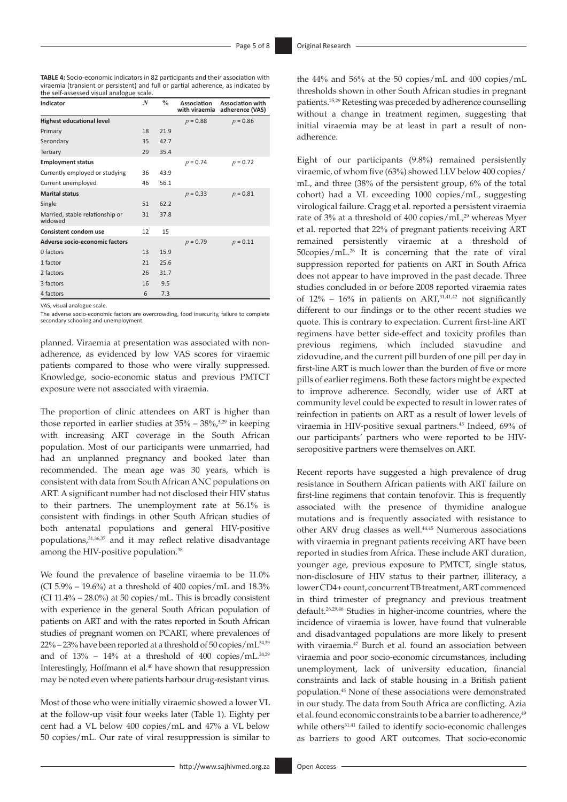**TABLE 4:** Socio-economic indicators in 82 participants and their association with viraemia (transient or persistent) and full or partial adherence, as indicated by the self-assessed visual analogue scale.

| Indicator                                  | $\boldsymbol{N}$ | $\frac{0}{0}$ | Association<br>with viraemia | <b>Association with</b><br>adherence (VAS) |
|--------------------------------------------|------------------|---------------|------------------------------|--------------------------------------------|
| <b>Highest educational level</b>           |                  |               | $p = 0.88$                   | $p = 0.86$                                 |
| Primary                                    | 18               | 21.9          |                              |                                            |
| Secondary                                  | 35               | 42.7          |                              |                                            |
| Tertiary                                   | 29               | 35.4          |                              |                                            |
| <b>Employment status</b>                   |                  |               | $p = 0.74$                   | $p = 0.72$                                 |
| Currently employed or studying             | 36               | 43.9          |                              |                                            |
| Current unemployed                         | 46               | 56.1          |                              |                                            |
| <b>Marital status</b>                      |                  |               | $p = 0.33$                   | $p = 0.81$                                 |
| Single                                     | 51               | 62.2          |                              |                                            |
| Married, stable relationship or<br>widowed | 31               | 37.8          |                              |                                            |
| <b>Consistent condom use</b>               | 12               | 15            |                              |                                            |
| Adverse socio-economic factors             |                  |               | $p = 0.79$                   | $p = 0.11$                                 |
| 0 factors                                  | 13               | 15.9          |                              |                                            |
| 1 factor                                   | 21               | 25.6          |                              |                                            |
| 2 factors                                  | 26               | 31.7          |                              |                                            |
| 3 factors                                  | 16               | 9.5           |                              |                                            |
| 4 factors                                  | 6                | 7.3           |                              |                                            |

VAS, visual analogue scale.

The adverse socio-economic factors are overcrowding, food insecurity, failure to complete secondary schooling and unemployment.

planned. Viraemia at presentation was associated with nonadherence, as evidenced by low VAS scores for viraemic patients compared to those who were virally suppressed. Knowledge, socio-economic status and previous PMTCT exposure were not associated with viraemia.

The proportion of clinic attendees on ART is higher than those reported in earlier studies at  $35\% - 38\%$ ,  $5\frac{29}{10}$  $5\frac{29}{10}$  $5\frac{29}{10}$  in keeping with increasing ART coverage in the South African population. Most of our participants were unmarried, had had an unplanned pregnancy and booked later than recommended. The mean age was 30 years, which is consistent with data from South African ANC populations on ART. A significant number had not disclosed their HIV status to their partners. The unemployment rate at 56.1% is consistent with findings in other South African studies of both antenatal populations and general HIV-positive populations,[31,](#page-7-8)[36](#page-7-13),37 and it may reflect relative disadvantage among the HIV-positive population.<sup>[38](#page-7-14)</sup>

<span id="page-4-1"></span><span id="page-4-0"></span>We found the prevalence of baseline viraemia to be 11.0% (CI 5.9% – 19.6%) at a threshold of 400 copies/mL and 18.3% (CI 11.4% – 28.0%) at 50 copies/mL. This is broadly consistent with experience in the general South African population of patients on ART and with the rates reported in South African studies of pregnant women on PCART, where prevalences of  $22\% - 23\%$  have been reported at a threshold of 50 copies/mL $^{34,39}$  $^{34,39}$  $^{34,39}$ and of  $13\%$  –  $14\%$  at a threshold of  $400$  copies/mL.<sup>24[,29](#page-7-6)</sup> Interestingly, Hoffmann et al.<sup>40</sup> have shown that resuppression may be noted even where patients harbour drug-resistant virus.

<span id="page-4-3"></span>Most of those who were initially viraemic showed a lower VL at the follow-up visit four weeks later (Table 1). Eighty per cent had a VL below 400 copies/mL and 47% a VL below 50 copies/mL. Our rate of viral resuppression is similar to

the 44% and 56% at the 50 copies/mL and 400 copies/mL thresholds shown in other South African studies in pregnant patients.[25](#page-7-2)[,29](#page-7-6) Retesting was preceded by adherence counselling without a change in treatment regimen, suggesting that initial viraemia may be at least in part a result of nonadherence.

<span id="page-4-4"></span>Eight of our participants (9.8%) remained persistently viraemic, of whom five (63%) showed LLV below 400 copies/ mL, and three (38% of the persistent group, 6% of the total cohort) had a VL exceeding 1000 copies/mL, suggesting virological failure. Cragg et al. reported a persistent viraemia rate of 3% at a threshold of 400 copies/mL,<sup>29</sup> whereas Myer et al. reported that 22% of pregnant patients receiving ART remained persistently viraemic at a threshold of 50copies/mL[.26](#page-7-3) It is concerning that the rate of viral suppression reported for patients on ART in South Africa does not appear to have improved in the past decade. Three studies concluded in or before 2008 reported viraemia rates of  $12\%$  –  $16\%$  in patients on ART,  $31,41,42$  $31,41,42$  $31,41,42$  not significantly different to our findings or to the other recent studies we quote. This is contrary to expectation. Current first-line ART regimens have better side-effect and toxicity profiles than previous regimens, which included stavudine and zidovudine, and the current pill burden of one pill per day in first-line ART is much lower than the burden of five or more pills of earlier regimens. Both these factors might be expected to improve adherence. Secondly, wider use of ART at community level could be expected to result in lower rates of reinfection in patients on ART as a result of lower levels of viraemia in HIV-positive sexual partners.<sup>43</sup> Indeed, 69% of our participants' partners who were reported to be HIVseropositive partners were themselves on ART.

<span id="page-4-11"></span><span id="page-4-10"></span><span id="page-4-9"></span><span id="page-4-8"></span><span id="page-4-7"></span><span id="page-4-6"></span><span id="page-4-5"></span><span id="page-4-2"></span>Recent reports have suggested a high prevalence of drug resistance in Southern African patients with ART failure on first-line regimens that contain tenofovir. This is frequently associated with the presence of thymidine analogue mutations and is frequently associated with resistance to other ARV drug classes as well.<sup>44,[45](#page-7-20)</sup> Numerous associations with viraemia in pregnant patients receiving ART have been reported in studies from Africa. These include ART duration, younger age, previous exposure to PMTCT, single status, non-disclosure of HIV status to their partner, illiteracy, a lower CD4+ count, concurrent TB treatment, ART commenced in third trimester of pregnancy and previous treatment default[.26,](#page-7-3)[29](#page-7-6)[,46](#page-7-21) Studies in higher-income countries, where the incidence of viraemia is lower, have found that vulnerable and disadvantaged populations are more likely to present with viraemia[.47](#page-7-22) Burch et al. found an association between viraemia and poor socio-economic circumstances, including unemployment, lack of university education, financial constraints and lack of stable housing in a British patient population[.48](#page-7-23) None of these associations were demonstrated in our study. The data from South Africa are conflicting. Azia et al. found economic constraints to be a barrier to adherence,<sup>[49](#page-7-24)</sup> while others<sup>[31](#page-7-8),41</sup> failed to identify socio-economic challenges as barriers to good ART outcomes. That socio-economic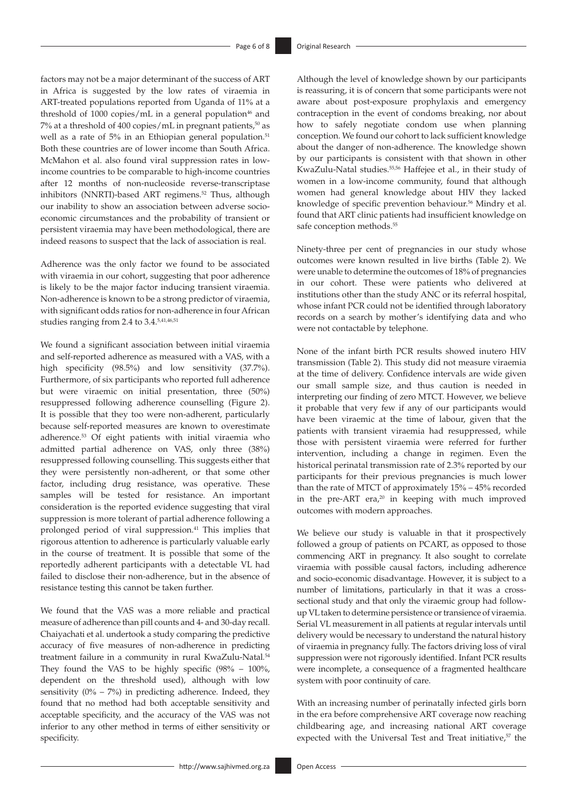<span id="page-5-0"></span>factors may not be a major determinant of the success of ART in Africa is suggested by the low rates of viraemia in ART-treated populations reported from Uganda of 11% at a threshold of 1000 copies/mL in a general population $46$  and 7% at a threshold of 400 copies/mL in pregnant patients, $50$  as well as a rate of 5% in an Ethiopian general population.<sup>51</sup> Both these countries are of lower income than South Africa. McMahon et al. also found viral suppression rates in lowincome countries to be comparable to high-income countries after 12 months of non-nucleoside reverse-transcriptase inhibitors (NNRTI)-based ART regimens.<sup>52</sup> Thus, although our inability to show an association between adverse socioeconomic circumstances and the probability of transient or persistent viraemia may have been methodological, there are indeed reasons to suspect that the lack of association is real.

<span id="page-5-2"></span>Adherence was the only factor we found to be associated with viraemia in our cohort, suggesting that poor adherence is likely to be the major factor inducing transient viraemia. Non-adherence is known to be a strong predictor of viraemia, with significant odds ratios for non-adherence in four African studies ranging from 2.4 to 3.4[.5,](#page-6-4)41,[46](#page-7-21)[,51](#page-7-26)

<span id="page-5-3"></span>We found a significant association between initial viraemia and self-reported adherence as measured with a VAS, with a high specificity (98.5%) and low sensitivity (37.7%). Furthermore, of six participants who reported full adherence but were viraemic on initial presentation, three (50%) resuppressed following adherence counselling (Figure 2). It is possible that they too were non-adherent, particularly because self-reported measures are known to overestimate adherence.[53](#page-7-28) Of eight patients with initial viraemia who admitted partial adherence on VAS, only three (38%) resuppressed following counselling. This suggests either that they were persistently non-adherent, or that some other factor, including drug resistance, was operative. These samples will be tested for resistance. An important consideration is the reported evidence suggesting that viral suppression is more tolerant of partial adherence following a prolonged period of viral suppression.<sup>41</sup> This implies that rigorous attention to adherence is particularly valuable early in the course of treatment. It is possible that some of the reportedly adherent participants with a detectable VL had failed to disclose their non-adherence, but in the absence of resistance testing this cannot be taken further.

We found that the VAS was a more reliable and practical measure of adherence than pill counts and 4- and 30-day recall. Chaiyachati et al. undertook a study comparing the predictive accuracy of five measures of non-adherence in predicting treatment failure in a community in rural KwaZulu-Natal*.* 54 They found the VAS to be highly specific (98% – 100%, dependent on the threshold used), although with low sensitivity  $(0\% - 7\%)$  in predicting adherence. Indeed, they found that no method had both acceptable sensitivity and acceptable specificity, and the accuracy of the VAS was not inferior to any other method in terms of either sensitivity or specificity.

<span id="page-5-1"></span>Although the level of knowledge shown by our participants is reassuring, it is of concern that some participants were not aware about post-exposure prophylaxis and emergency contraception in the event of condoms breaking, nor about how to safely negotiate condom use when planning conception. We found our cohort to lack sufficient knowledge about the danger of non-adherence. The knowledge shown by our participants is consistent with that shown in other KwaZulu-Natal studies.55,56 Haffejee et al., in their study of women in a low-income community, found that although women had general knowledge about HIV they lacked knowledge of specific prevention behaviour.<sup>56</sup> Mindry et al. found that ART clinic patients had insufficient knowledge on safe conception methods.<sup>55</sup>

Ninety-three per cent of pregnancies in our study whose outcomes were known resulted in live births (Table 2). We were unable to determine the outcomes of 18% of pregnancies in our cohort. These were patients who delivered at institutions other than the study ANC or its referral hospital, whose infant PCR could not be identified through laboratory records on a search by mother's identifying data and who were not contactable by telephone.

None of the infant birth PCR results showed inutero HIV transmission (Table 2). This study did not measure viraemia at the time of delivery. Confidence intervals are wide given our small sample size, and thus caution is needed in interpreting our finding of zero MTCT. However, we believe it probable that very few if any of our participants would have been viraemic at the time of labour, given that the patients with transient viraemia had resuppressed, while those with persistent viraemia were referred for further intervention, including a change in regimen. Even the historical perinatal transmission rate of 2.3% reported by our participants for their previous pregnancies is much lower than the rate of MTCT of approximately 15% – 45% recorded in the pre-ART era, $20$  in keeping with much improved outcomes with modern approaches.

We believe our study is valuable in that it prospectively followed a group of patients on PCART, as opposed to those commencing ART in pregnancy. It also sought to correlate viraemia with possible causal factors, including adherence and socio-economic disadvantage. However, it is subject to a number of limitations, particularly in that it was a crosssectional study and that only the viraemic group had followup VL taken to determine persistence or transience of viraemia. Serial VL measurement in all patients at regular intervals until delivery would be necessary to understand the natural history of viraemia in pregnancy fully. The factors driving loss of viral suppression were not rigorously identified. Infant PCR results were incomplete, a consequence of a fragmented healthcare system with poor continuity of care.

With an increasing number of perinatally infected girls born in the era before comprehensive ART coverage now reaching childbearing age, and increasing national ART coverage expected with the Universal Test and Treat initiative,<sup>57</sup> the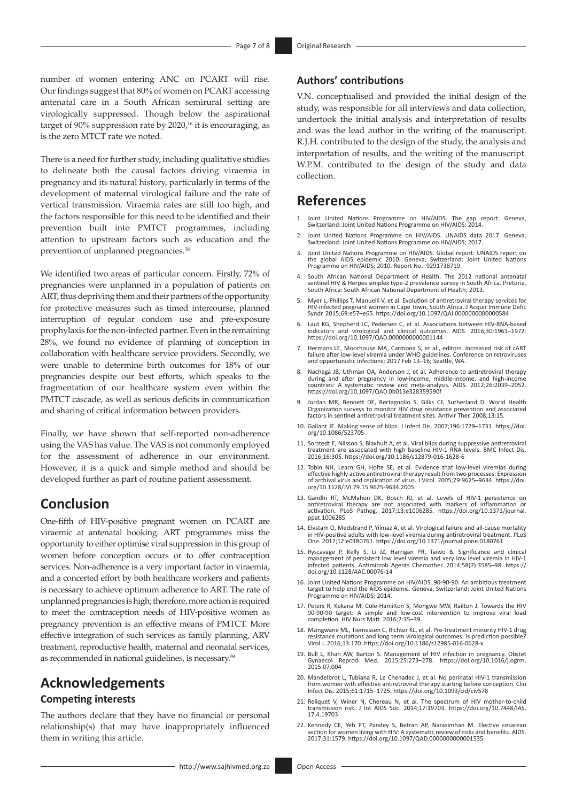number of women entering ANC on PCART will rise. Our findings suggest that 80% of women on PCART accessing antenatal care in a South African semirural setting are virologically suppressed. Though below the aspirational target of  $90\%$  suppression rate by  $2020<sup>16</sup>$  $2020<sup>16</sup>$  $2020<sup>16</sup>$  it is encouraging, as is the zero MTCT rate we noted.

There is a need for further study, including qualitative studies to delineate both the causal factors driving viraemia in pregnancy and its natural history, particularly in terms of the development of maternal virological failure and the rate of vertical transmission. Viraemia rates are still too high, and the factors responsible for this need to be identified and their prevention built into PMTCT programmes, including attention to upstream factors such as education and the prevention of unplanned pregnancies.<sup>58</sup>

We identified two areas of particular concern. Firstly, 72% of pregnancies were unplanned in a population of patients on ART, thus depriving them and their partners of the opportunity for protective measures such as timed intercourse, planned interruption of regular condom use and pre-exposure prophylaxis for the non-infected partner. Even in the remaining 28%, we found no evidence of planning of conception in collaboration with healthcare service providers. Secondly, we were unable to determine birth outcomes for 18% of our pregnancies despite our best efforts, which speaks to the fragmentation of our healthcare system even within the PMTCT cascade, as well as serious deficits in communication and sharing of critical information between providers.

Finally, we have shown that self-reported non-adherence using the VAS has value. The VAS is not commonly employed for the assessment of adherence in our environment. However, it is a quick and simple method and should be developed further as part of routine patient assessment.

# **Conclusion**

One-fifth of HIV-positive pregnant women on PCART are viraemic at antenatal booking. ART programmes miss the opportunity to either optimise viral suppression in this group of women before conception occurs or to offer contraception services. Non-adherence is a very important factor in viraemia, and a concerted effort by both healthcare workers and patients is necessary to achieve optimum adherence to ART. The rate of unplanned pregnancies is high; therefore, more action is required to meet the contraception needs of HIV-positive women as pregnancy prevention is an effective means of PMTCT. More effective integration of such services as family planning, ARV treatment, reproductive health, maternal and neonatal services, as recommended in national guidelines, is necessary.59

# **Acknowledgements Competing interests**

The authors declare that they have no financial or personal relationship(s) that may have inappropriately influenced them in writing this article.

### **Authors' contributions**

V.N. conceptualised and provided the initial design of the study, was responsible for all interviews and data collection, undertook the initial analysis and interpretation of results and was the lead author in the writing of the manuscript. R.J.H. contributed to the design of the study, the analysis and interpretation of results, and the writing of the manuscript. W.P.M. contributed to the design of the study and data collection.

### **References**

- <span id="page-6-0"></span>1. [Joint United Nations Programme on HIV/AIDS. The gap report. Geneva,](#page-0-0)  [Switzerland: Joint United Nations Programme on HIV/AIDS; 2014.](#page-0-0)
- <span id="page-6-1"></span>2. [Joint United Nations Programme on HIV/AIDS. UNAIDS data 2017. Geneva,](#page-0-1)  [Switzerland: Joint United Nations Programme on HIV/AIDS; 2017.](#page-0-1)
- <span id="page-6-2"></span>3. [Joint United Nations Programme on HIV/AIDS. Global report: UNAIDS report on](#page-0-2)  [the global AIDS epidemic 2010. Geneva, Switzerland: Joint United Nations](#page-0-2)  [Programme on HIV/AIDS; 2010. Report No.: 9291738719.](#page-0-2)
- <span id="page-6-3"></span>4. [South African National Department of Health. The 2012 national antenatal](#page-0-3)  [sentinel HIV & Herpes simplex type-2 prevalence survey in South Africa. Pretoria,](#page-0-3)  [South Africa: South African National Department of Health; 2013.](#page-0-3)
- <span id="page-6-4"></span>5. Myer L, Phillips T, Manuelli V, et al. Evolution of antiretroviral therapy services for HIV-infected pregnant women in Cape Town, South Africa. J Acquir Immune Defic Syndr. 2015;69:e57–e65. <https://doi.org/10.1097/QAI.0000000000000584>
- 6. Laut KG, Shepherd LC, Pedersen C, et al. Associations between HIV-RNA-based indicators and virological and clinical outcomes. AIDS. 2016;30:1961–1972. <https://doi.org/10.1097/QAD.0000000000001144>
- 7. Hermans LE, Moorhouse MA, Carmona S, et al., editors. Increased risk of cART failure after low-level viremia under WHO guidelines. Conference on retroviruses and opportunistic infections; 2017 Feb 13–16; Seattle, WA.
- Nachega JB, Uthman OA, Anderson J, et al. Adherence to antiretroviral therapy during and after pregnancy in low-income, middle-income, and high-income countries: A systematic review and meta-analysis. AIDS. 2012;26:2039–2052. <https://doi.org/10.1097/QAD.0b013e328359590f>
- 9. Jordan MR, Bennett DE, Bertagnolio S, Gilks CF, Sutherland D. World Health Organization surveys to monitor HIV drug resistance prevention and associated factors in sentinel antiretroviral treatment sites. Antivir Ther. 2008;13:15.
- <span id="page-6-5"></span>10. [Gallant JE. Making sense of blips. J Infect Dis. 2007;196:1729–1731.](#page-1-0) [https://doi.](https://doi.org/10.1086/523705) [org/10.1086/523705](https://doi.org/10.1086/523705)
- <span id="page-6-6"></span>11. [Sorstedt E, Nilsson S, Blaxhult A, et al. Viral blips during suppressive antiretroviral](#page-1-1)  [treatment are associated with high baseline HIV-1 RNA levels. BMC Infect Dis.](#page-1-1)  [2016;16:305.](#page-1-1) <https://doi.org/10.1186/s12879-016-1628-6>
- <span id="page-6-7"></span>12. [Tobin NH, Learn GH, Holte SE, et al. Evidence that low-level viremias during](#page-1-2)  [effective highly active antiretroviral therapy result from two processes: Expression](#page-1-2)  [of archival virus and replication of virus. J Virol. 2005;79:9625–9634.](#page-1-2) [https://doi.](https://doi.org/10.1128/JVI.79.15.9625-9634.2005) [org/10.1128/JVI.79.15.9625-9634.2005](https://doi.org/10.1128/JVI.79.15.9625-9634.2005)
- <span id="page-6-8"></span>13. [Gandhi RT, McMahon DK, Bosch RJ, et al. Levels of HIV-1 persistence on](#page-1-3) [antiretroviral therapy are not associated with markers of inflammation or](#page-1-3) activation. PLOS Pathog. 2017;13:e1006285. https://doi.org/10.1371/journa [ppat.1006285](https://doi.org/10.1371/journal.ppat.1006285)
- <span id="page-6-9"></span>14. Elvstam O, Medstrand P, Yilmaz A, et al. Virological failure and all-cause mortality<br>in HIV-positive adults with low-level viremia during antiretroviral treatment. PLoS<br>[One. 2017;12:e0180761.](#page-1-4) https://doi.org/10.1371/jo
- <span id="page-6-10"></span>15. Ryscavage P, Kelly S, Li JZ, Harrigan PR, Taiwo B. Significance and clinical<br>management of persistent low level viremia and very low level viremia in HIV-1<br>infected patients. Antimicrob Agents Chemother. 2014;58(7):358 [doi.org/10.1128/AAC.00076-14](https://doi.org/10.1128/AAC.00076-14)
- <span id="page-6-11"></span>16. [Joint United Nations Programme on HIV/AIDS. 90-90-90: An ambitious treatment](#page-1-5)  [target to help end the AIDS epidemic. Geneva, Switzerland: Joint United Nations](#page-1-5)  [Programme on HIV/AIDS; 2014.](#page-1-5)
- <span id="page-6-12"></span>17. [Peters R, Kekana M, Cole-Hamilton S, Mongwe MW, Railton J. Towards the HIV](#page-1-6)  [90-90-90 target: A simple and low-cost intervention to improve viral load](#page-1-6)  [completion. HIV Nurs Matt. 2016;7:35–39.](#page-1-6)
- <span id="page-6-13"></span>18. [Mzingwane ML, Tiemessen C, Richter KL, et al. Pre-treatment minority HIV-1 drug](#page-1-7)  [resistance mutations and long term virological outcomes: Is prediction possible?](#page-1-7)  [Virol J. 2016;13:170.](#page-1-7) <https://doi.org/10.1186/s12985-016-0628-x>
- <span id="page-6-14"></span>19. [Bull L, Khan AW, Barton S. Management of HIV infection in pregnancy. Obstet](#page-1-8)  [Gynaecol Reprod Med. 2015;25:273–278.](#page-1-8) [https://doi.org/10.1016/j.ogrm.](https://doi.org/10.1016/j.ogrm.2015.07.004) [2015.07.004](https://doi.org/10.1016/j.ogrm.2015.07.004)
- <span id="page-6-15"></span>20. Mandelbrot L, Tubiana R, Le Chenadec J, et al. No perinatal HIV-1 transmission<br>from women with effective antiretroviral therapy starting before conception. Clin<br>Infect Dis. 2015;61:1715-1725. https://doi.org/10.1093/ci
- <span id="page-6-16"></span>21. [Reliquet V, Winer N, Chereau N, et al. The spectrum of HIV mother-to-child](#page-1-10)  [transmission risk. J Int AIDS Soc. 2014;17:19703.](#page-1-10) [https://doi.org/10.7448/IAS.](https://doi.org/10.7448/IAS.17.4.19703) [17.4.19703](https://doi.org/10.7448/IAS.17.4.19703)
- <span id="page-6-17"></span>22. [Kennedy CE, Yeh PT, Pandey S, Betran AP, Narasimhan M. Elective cesarean](#page-1-11)  [section for women living with HIV: A systematic review of risks and benefits. AIDS.](#page-1-11)  [2017;31:1579.](#page-1-11) <https://doi.org/10.1097/QAD.0000000000001535>